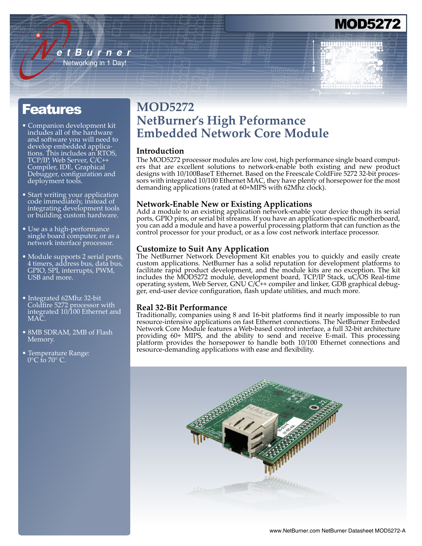## MOD527

### Features

• Companion development kit includes all of the hardware and software you will need to develop embedded applications. This includes an RTOS, TCP/IP, Web Server, C/C++ Compiler, IDE, Graphical Debugger, configuration and deployment tools.

*e t B u r n e r* Networking in 1 Day!

- Start writing your application code immediately, instead of integrating development tools or building custom hardware.
- Use as a high-performance single board computer, or as a network interface processor.
- Module supports 2 serial ports, 4 timers, address bus, data bus, GPIO, SPI, interrupts, PWM, USB and more.
- Integrated 62Mhz 32-bit Coldfire 5272 processor with integrated 10/100 Ethernet and MAC.
- 8MB SDRAM, 2MB of Flash Memory.
- Temperature Range:  $0^{\circ}$ C to  $70^{\circ}$  C.

### **MOD5272 NetBurner's High Peformance Embedded Network Core Module**

### **Introduction**

The MOD5272 processor modules are low cost, high performance single board computers that are excellent solutions to network-enable both existing and new product designs with 10/100BaseT Ethernet. Based on the Freescale ColdFire 5272 32-bit processors with integrated 10/100 Ethernet MAC, they have plenty of horsepower for the most demanding applications (rated at 60+MIPS with 62Mhz clock).

### **Network-Enable New or Existing Applications**

Add a module to an existing application network-enable your device though its serial ports, GPIO pins, or serial bit streams. If you have an application-specific motherboard, you can add a module and have a powerful processing platform that can function as the control processor for your product, or as a low cost network interface processor.

### **Customize to Suit Any Application**

The NetBurner Network Development Kit enables you to quickly and easily create custom applications. NetBurner has a solid reputation for development platforms to facilitate rapid product development, and the module kits are no exception. The kit includes the MOD5272 module, development board, TCP/IP Stack, uC/OS Real-time operating system, Web Server, GNU C/C++ compiler and linker, GDB graphical debugger, end-user device configuration, flash update utilities, and much more.

### **Real 32-Bit Performance**

Traditionally, companies using 8 and 16-bit platforms find it nearly impossible to run resource-intensive applications on fast Ethernet connections. The NetBurner Embeded Network Core Module features a Web-based control interface, a full 32-bit architecture providing 60+ MIPS, and the ability to send and receive E-mail. This processing platform provides the horsepower to handle both 10/100 Ethernet connections and resource-demanding applications with ease and flexibility.